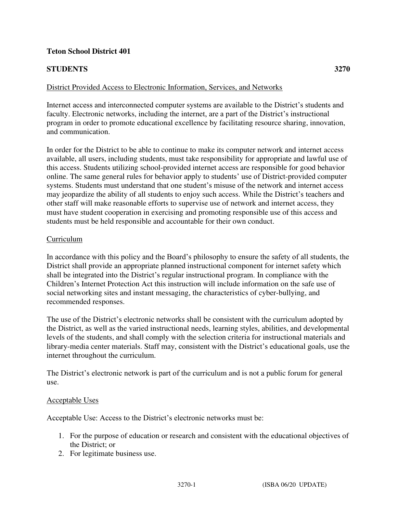# **Teton School District 401**

# **STUDENTS 3270**

### District Provided Access to Electronic Information, Services, and Networks

Internet access and interconnected computer systems are available to the District's students and faculty. Electronic networks, including the internet, are a part of the District's instructional program in order to promote educational excellence by facilitating resource sharing, innovation, and communication.

In order for the District to be able to continue to make its computer network and internet access available, all users, including students, must take responsibility for appropriate and lawful use of this access. Students utilizing school-provided internet access are responsible for good behavior online. The same general rules for behavior apply to students' use of District-provided computer systems. Students must understand that one student's misuse of the network and internet access may jeopardize the ability of all students to enjoy such access. While the District's teachers and other staff will make reasonable efforts to supervise use of network and internet access, they must have student cooperation in exercising and promoting responsible use of this access and students must be held responsible and accountable for their own conduct.

#### Curriculum

In accordance with this policy and the Board's philosophy to ensure the safety of all students, the District shall provide an appropriate planned instructional component for internet safety which shall be integrated into the District's regular instructional program. In compliance with the Children's Internet Protection Act this instruction will include information on the safe use of social networking sites and instant messaging, the characteristics of cyber-bullying, and recommended responses.

The use of the District's electronic networks shall be consistent with the curriculum adopted by the District, as well as the varied instructional needs, learning styles, abilities, and developmental levels of the students, and shall comply with the selection criteria for instructional materials and library-media center materials. Staff may, consistent with the District's educational goals, use the internet throughout the curriculum.

The District's electronic network is part of the curriculum and is not a public forum for general use.

#### Acceptable Uses

Acceptable Use: Access to the District's electronic networks must be:

- 1. For the purpose of education or research and consistent with the educational objectives of the District; or
- 2. For legitimate business use.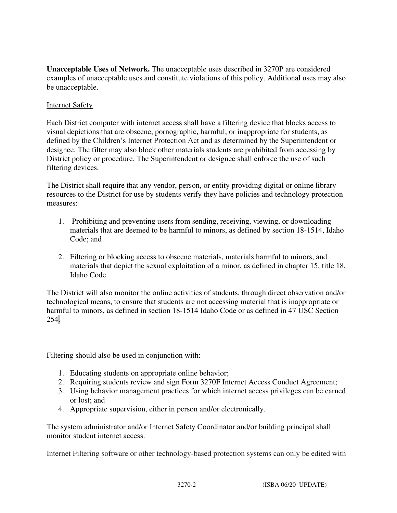**Unacceptable Uses of Network.** The unacceptable uses described in 3270P are considered examples of unacceptable uses and constitute violations of this policy. Additional uses may also be unacceptable.

# Internet Safety

Each District computer with internet access shall have a filtering device that blocks access to visual depictions that are obscene, pornographic, harmful, or inappropriate for students, as defined by the Children's Internet Protection Act and as determined by the Superintendent or designee. The filter may also block other materials students are prohibited from accessing by District policy or procedure. The Superintendent or designee shall enforce the use of such filtering devices.

The District shall require that any vendor, person, or entity providing digital or online library resources to the District for use by students verify they have policies and technology protection measures:

- 1. Prohibiting and preventing users from sending, receiving, viewing, or downloading materials that are deemed to be harmful to minors, as defined by section 18-1514, Idaho Code; and
- 2. Filtering or blocking access to obscene materials, materials harmful to minors, and materials that depict the sexual exploitation of a minor, as defined in chapter 15, title 18, Idaho Code.

The District will also monitor the online activities of students, through direct observation and/or technological means, to ensure that students are not accessing material that is inappropriate or harmful to minors, as defined in section 18-1514 Idaho Code or as defined in 47 USC Section 254.

Filtering should also be used in conjunction with:

- 1. Educating students on appropriate online behavior;
- 2. Requiring students review and sign Form 3270F Internet Access Conduct Agreement;
- 3. Using behavior management practices for which internet access privileges can be earned or lost; and
- 4. Appropriate supervision, either in person and/or electronically.

The system administrator and/or Internet Safety Coordinator and/or building principal shall monitor student internet access.

Internet Filtering software or other technology-based protection systems can only be edited with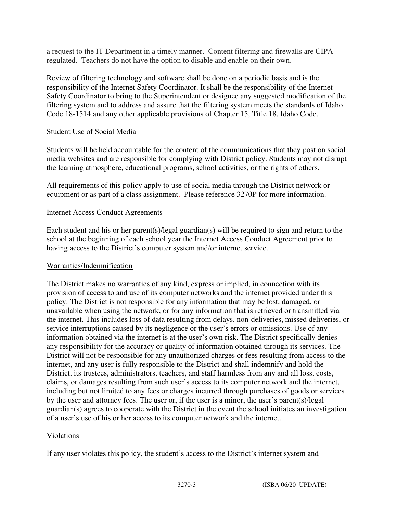a request to the IT Department in a timely manner. Content filtering and firewalls are CIPA regulated. Teachers do not have the option to disable and enable on their own.

Review of filtering technology and software shall be done on a periodic basis and is the responsibility of the Internet Safety Coordinator. It shall be the responsibility of the Internet Safety Coordinator to bring to the Superintendent or designee any suggested modification of the filtering system and to address and assure that the filtering system meets the standards of Idaho Code 18-1514 and any other applicable provisions of Chapter 15, Title 18, Idaho Code.

## Student Use of Social Media

Students will be held accountable for the content of the communications that they post on social media websites and are responsible for complying with District policy. Students may not disrupt the learning atmosphere, educational programs, school activities, or the rights of others.

All requirements of this policy apply to use of social media through the District network or equipment or as part of a class assignment. Please reference 3270P for more information.

## Internet Access Conduct Agreements

Each student and his or her parent(s)/legal guardian(s) will be required to sign and return to the school at the beginning of each school year the Internet Access Conduct Agreement prior to having access to the District's computer system and/or internet service.

# Warranties/Indemnification

The District makes no warranties of any kind, express or implied, in connection with its provision of access to and use of its computer networks and the internet provided under this policy. The District is not responsible for any information that may be lost, damaged, or unavailable when using the network, or for any information that is retrieved or transmitted via the internet. This includes loss of data resulting from delays, non-deliveries, missed deliveries, or service interruptions caused by its negligence or the user's errors or omissions. Use of any information obtained via the internet is at the user's own risk. The District specifically denies any responsibility for the accuracy or quality of information obtained through its services. The District will not be responsible for any unauthorized charges or fees resulting from access to the internet, and any user is fully responsible to the District and shall indemnify and hold the District, its trustees, administrators, teachers, and staff harmless from any and all loss, costs, claims, or damages resulting from such user's access to its computer network and the internet, including but not limited to any fees or charges incurred through purchases of goods or services by the user and attorney fees. The user or, if the user is a minor, the user's parent(s)/legal guardian(s) agrees to cooperate with the District in the event the school initiates an investigation of a user's use of his or her access to its computer network and the internet.

#### Violations

If any user violates this policy, the student's access to the District's internet system and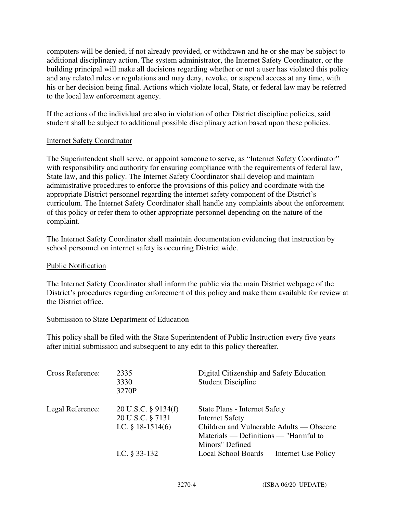computers will be denied, if not already provided, or withdrawn and he or she may be subject to additional disciplinary action. The system administrator, the Internet Safety Coordinator, or the building principal will make all decisions regarding whether or not a user has violated this policy and any related rules or regulations and may deny, revoke, or suspend access at any time, with his or her decision being final. Actions which violate local, State, or federal law may be referred to the local law enforcement agency.

If the actions of the individual are also in violation of other District discipline policies, said student shall be subject to additional possible disciplinary action based upon these policies.

## Internet Safety Coordinator

The Superintendent shall serve, or appoint someone to serve, as "Internet Safety Coordinator" with responsibility and authority for ensuring compliance with the requirements of federal law, State law, and this policy. The Internet Safety Coordinator shall develop and maintain administrative procedures to enforce the provisions of this policy and coordinate with the appropriate District personnel regarding the internet safety component of the District's curriculum. The Internet Safety Coordinator shall handle any complaints about the enforcement of this policy or refer them to other appropriate personnel depending on the nature of the complaint.

The Internet Safety Coordinator shall maintain documentation evidencing that instruction by school personnel on internet safety is occurring District wide.

#### Public Notification

The Internet Safety Coordinator shall inform the public via the main District webpage of the District's procedures regarding enforcement of this policy and make them available for review at the District office.

#### Submission to State Department of Education

This policy shall be filed with the State Superintendent of Public Instruction every five years after initial submission and subsequent to any edit to this policy thereafter.

| Cross Reference: | 2335<br>3330<br>3270P                                          | Digital Citizenship and Safety Education<br><b>Student Discipline</b>                                                                                           |
|------------------|----------------------------------------------------------------|-----------------------------------------------------------------------------------------------------------------------------------------------------------------|
| Legal Reference: | 20 U.S.C. § 9134(f)<br>20 U.S.C. § 7131<br>I.C. $§$ 18-1514(6) | State Plans - Internet Safety<br><b>Internet Safety</b><br>Children and Vulnerable Adults — Obscene<br>Materials — Definitions — "Harmful to<br>Minors" Defined |
|                  | I.C. $§$ 33-132                                                | Local School Boards — Internet Use Policy                                                                                                                       |